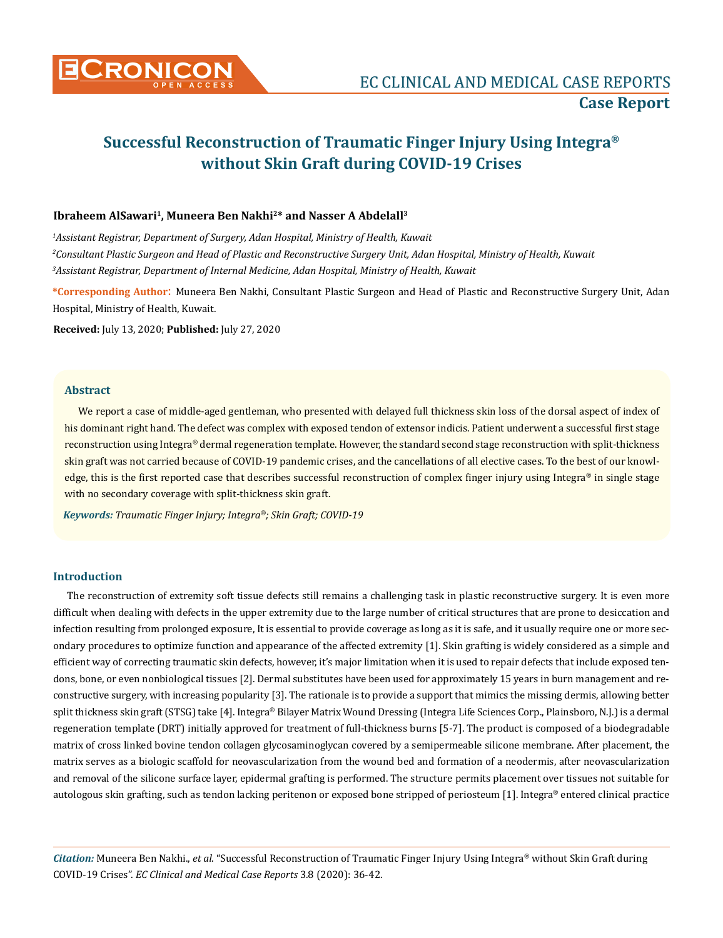

# **Successful Reconstruction of Traumatic Finger Injury Using Integra® without Skin Graft during COVID-19 Crises**

## **Ibraheem AlSawari1, Muneera Ben Nakhi2\* and Nasser A Abdelall3**

<sup>1</sup> Assistant Registrar, Department of Surgery, Adan Hospital, Ministry of Health, Kuwait *2 Consultant Plastic Surgeon and Head of Plastic and Reconstructive Surgery Unit, Adan Hospital, Ministry of Health, Kuwait 3 Assistant Registrar, Department of Internal Medicine, Adan Hospital, Ministry of Health, Kuwait* 

**\*Corresponding Author**: Muneera Ben Nakhi, Consultant Plastic Surgeon and Head of Plastic and Reconstructive Surgery Unit, Adan Hospital, Ministry of Health, Kuwait.

**Received:** July 13, 2020; **Published:** July 27, 2020

#### **Abstract**

We report a case of middle-aged gentleman, who presented with delayed full thickness skin loss of the dorsal aspect of index of his dominant right hand. The defect was complex with exposed tendon of extensor indicis. Patient underwent a successful first stage reconstruction using Integra® dermal regeneration template. However, the standard second stage reconstruction with split-thickness skin graft was not carried because of COVID-19 pandemic crises, and the cancellations of all elective cases. To the best of our knowledge, this is the first reported case that describes successful reconstruction of complex finger injury using Integra<sup>®</sup> in single stage with no secondary coverage with split-thickness skin graft.

*Keywords: Traumatic Finger Injury; Integra®; Skin Graft; COVID-19*

# **Introduction**

The reconstruction of extremity soft tissue defects still remains a challenging task in plastic reconstructive surgery. It is even more difficult when dealing with defects in the upper extremity due to the large number of critical structures that are prone to desiccation and infection resulting from prolonged exposure, It is essential to provide coverage as long as it is safe, and it usually require one or more secondary procedures to optimize function and appearance of the affected extremity [1]. Skin grafting is widely considered as a simple and efficient way of correcting traumatic skin defects, however, it's major limitation when it is used to repair defects that include exposed tendons, bone, or even nonbiological tissues [2]. Dermal substitutes have been used for approximately 15 years in burn management and reconstructive surgery, with increasing popularity [3]. The rationale is to provide a support that mimics the missing dermis, allowing better split thickness skin graft (STSG) take [4]. Integra® Bilayer Matrix Wound Dressing (Integra Life Sciences Corp., Plainsboro, N.J.) is a dermal regeneration template (DRT) initially approved for treatment of full-thickness burns [5-7]. The product is composed of a biodegradable matrix of cross linked bovine tendon collagen glycosaminoglycan covered by a semipermeable silicone membrane. After placement, the matrix serves as a biologic scaffold for neovascularization from the wound bed and formation of a neodermis, after neovascularization and removal of the silicone surface layer, epidermal grafting is performed. The structure permits placement over tissues not suitable for autologous skin grafting, such as tendon lacking peritenon or exposed bone stripped of periosteum [1]. Integra® entered clinical practice

*Citation:* Muneera Ben Nakhi., *et al*. "Successful Reconstruction of Traumatic Finger Injury Using Integra® without Skin Graft during COVID-19 Crises". *EC Clinical and Medical Case Reports* 3.8 (2020): 36-42.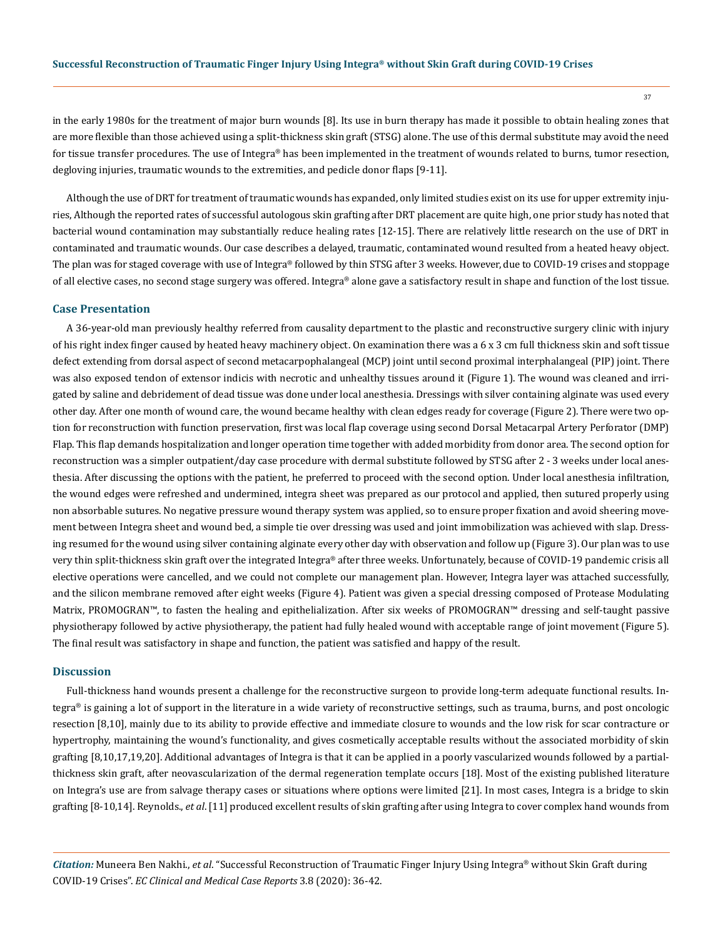in the early 1980s for the treatment of major burn wounds [8]. Its use in burn therapy has made it possible to obtain healing zones that are more flexible than those achieved using a split-thickness skin graft (STSG) alone. The use of this dermal substitute may avoid the need for tissue transfer procedures. The use of Integra® has been implemented in the treatment of wounds related to burns, tumor resection, degloving injuries, traumatic wounds to the extremities, and pedicle donor flaps [9-11].

Although the use of DRT for treatment of traumatic wounds has expanded, only limited studies exist on its use for upper extremity injuries, Although the reported rates of successful autologous skin grafting after DRT placement are quite high, one prior study has noted that bacterial wound contamination may substantially reduce healing rates [12-15]. There are relatively little research on the use of DRT in contaminated and traumatic wounds. Our case describes a delayed, traumatic, contaminated wound resulted from a heated heavy object. The plan was for staged coverage with use of Integra® followed by thin STSG after 3 weeks. However, due to COVID-19 crises and stoppage of all elective cases, no second stage surgery was offered. Integra® alone gave a satisfactory result in shape and function of the lost tissue.

#### **Case Presentation**

A 36-year-old man previously healthy referred from causality department to the plastic and reconstructive surgery clinic with injury of his right index finger caused by heated heavy machinery object. On examination there was a 6 x 3 cm full thickness skin and soft tissue defect extending from dorsal aspect of second metacarpophalangeal (MCP) joint until second proximal interphalangeal (PIP) joint. There was also exposed tendon of extensor indicis with necrotic and unhealthy tissues around it (Figure 1). The wound was cleaned and irrigated by saline and debridement of dead tissue was done under local anesthesia. Dressings with silver containing alginate was used every other day. After one month of wound care, the wound became healthy with clean edges ready for coverage (Figure 2). There were two option for reconstruction with function preservation, first was local flap coverage using second Dorsal Metacarpal Artery Perforator (DMP) Flap. This flap demands hospitalization and longer operation time together with added morbidity from donor area. The second option for reconstruction was a simpler outpatient/day case procedure with dermal substitute followed by STSG after 2 - 3 weeks under local anesthesia. After discussing the options with the patient, he preferred to proceed with the second option. Under local anesthesia infiltration, the wound edges were refreshed and undermined, integra sheet was prepared as our protocol and applied, then sutured properly using non absorbable sutures. No negative pressure wound therapy system was applied, so to ensure proper fixation and avoid sheering movement between Integra sheet and wound bed, a simple tie over dressing was used and joint immobilization was achieved with slap. Dressing resumed for the wound using silver containing alginate every other day with observation and follow up (Figure 3). Our plan was to use very thin split-thickness skin graft over the integrated Integra® after three weeks. Unfortunately, because of COVID-19 pandemic crisis all elective operations were cancelled, and we could not complete our management plan. However, Integra layer was attached successfully, and the silicon membrane removed after eight weeks (Figure 4). Patient was given a special dressing composed of Protease Modulating Matrix, PROMOGRAN™, to fasten the healing and epithelialization. After six weeks of PROMOGRAN™ dressing and self-taught passive physiotherapy followed by active physiotherapy, the patient had fully healed wound with acceptable range of joint movement (Figure 5). The final result was satisfactory in shape and function, the patient was satisfied and happy of the result.

#### **Discussion**

Full-thickness hand wounds present a challenge for the reconstructive surgeon to provide long-term adequate functional results. Integra® is gaining a lot of support in the literature in a wide variety of reconstructive settings, such as trauma, burns, and post oncologic resection [8,10], mainly due to its ability to provide effective and immediate closure to wounds and the low risk for scar contracture or hypertrophy, maintaining the wound's functionality, and gives cosmetically acceptable results without the associated morbidity of skin grafting [8,10,17,19,20]. Additional advantages of Integra is that it can be applied in a poorly vascularized wounds followed by a partialthickness skin graft, after neovascularization of the dermal regeneration template occurs [18]. Most of the existing published literature on Integra's use are from salvage therapy cases or situations where options were limited [21]. In most cases, Integra is a bridge to skin grafting [8-10,14]. Reynolds., *et al*. [11] produced excellent results of skin grafting after using Integra to cover complex hand wounds from

*Citation:* Muneera Ben Nakhi., *et al*. "Successful Reconstruction of Traumatic Finger Injury Using Integra® without Skin Graft during COVID-19 Crises". *EC Clinical and Medical Case Reports* 3.8 (2020): 36-42.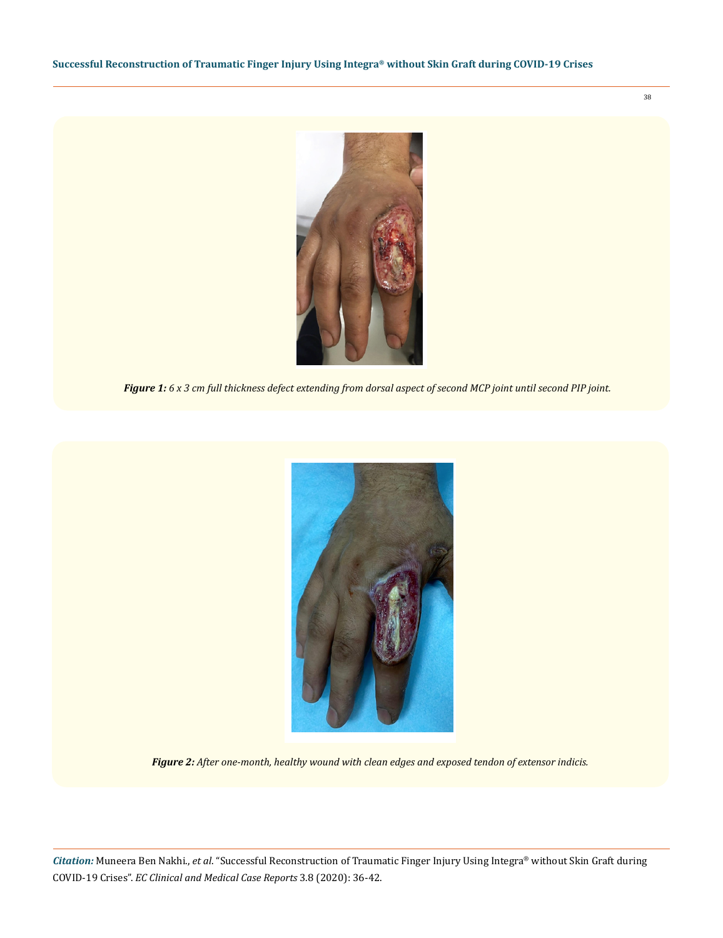

*Figure 1: 6 x 3 cm full thickness defect extending from dorsal aspect of second MCP joint until second PIP joint.* 



*Figure 2: After one-month, healthy wound with clean edges and exposed tendon of extensor indicis.*

*Citation:* Muneera Ben Nakhi., *et al*. "Successful Reconstruction of Traumatic Finger Injury Using Integra® without Skin Graft during COVID-19 Crises". *EC Clinical and Medical Case Reports* 3.8 (2020): 36-42.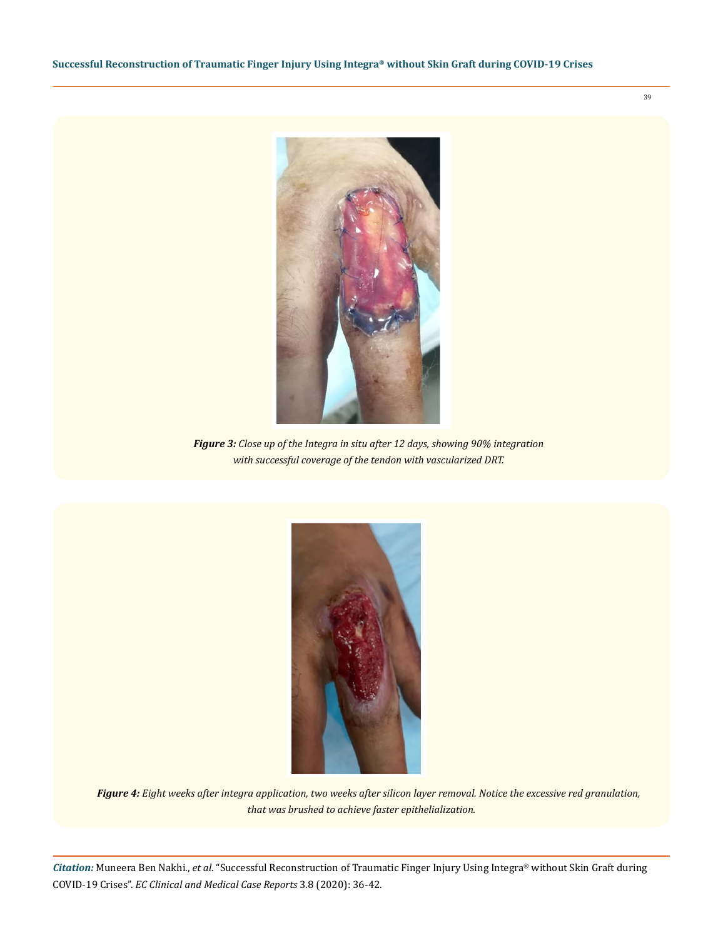

*Figure 3: Close up of the Integra in situ after 12 days, showing 90% integration with successful coverage of the tendon with vascularized DRT.*



*Figure 4: Eight weeks after integra application, two weeks after silicon layer removal. Notice the excessive red granulation, that was brushed to achieve faster epithelialization.*

*Citation:* Muneera Ben Nakhi., *et al*. "Successful Reconstruction of Traumatic Finger Injury Using Integra® without Skin Graft during COVID-19 Crises". *EC Clinical and Medical Case Reports* 3.8 (2020): 36-42.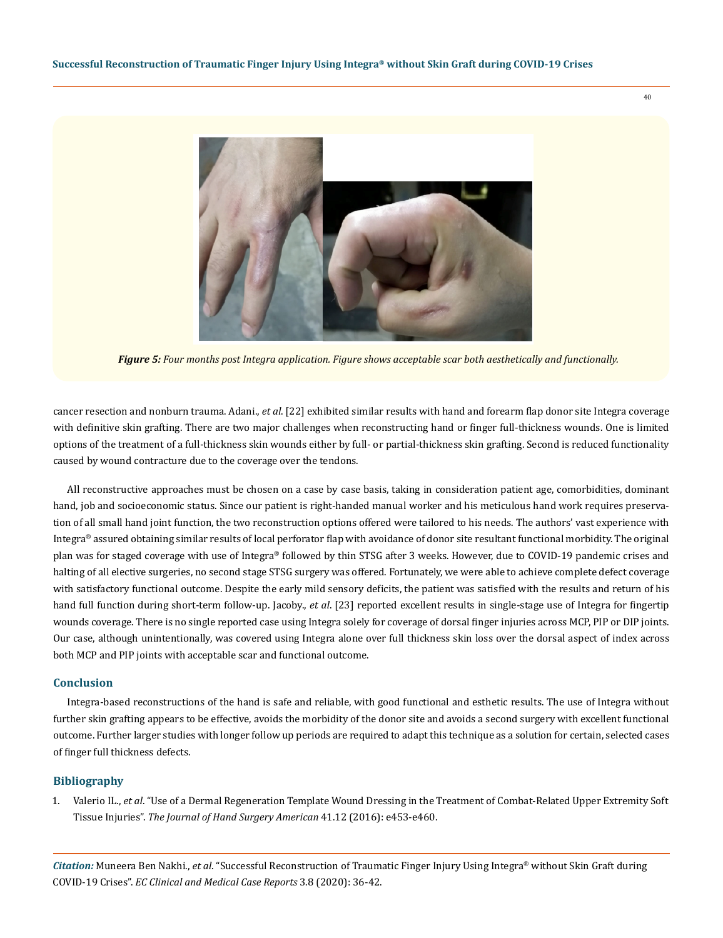40



*Figure 5: Four months post Integra application. Figure shows acceptable scar both aesthetically and functionally.*

cancer resection and nonburn trauma. Adani., *et al*. [22] exhibited similar results with hand and forearm flap donor site Integra coverage with definitive skin grafting. There are two major challenges when reconstructing hand or finger full-thickness wounds. One is limited options of the treatment of a full-thickness skin wounds either by full- or partial-thickness skin grafting. Second is reduced functionality caused by wound contracture due to the coverage over the tendons.

All reconstructive approaches must be chosen on a case by case basis, taking in consideration patient age, comorbidities, dominant hand, job and socioeconomic status. Since our patient is right-handed manual worker and his meticulous hand work requires preservation of all small hand joint function, the two reconstruction options offered were tailored to his needs. The authors' vast experience with Integra® assured obtaining similar results of local perforator flap with avoidance of donor site resultant functional morbidity. The original plan was for staged coverage with use of Integra® followed by thin STSG after 3 weeks. However, due to COVID-19 pandemic crises and halting of all elective surgeries, no second stage STSG surgery was offered. Fortunately, we were able to achieve complete defect coverage with satisfactory functional outcome. Despite the early mild sensory deficits, the patient was satisfied with the results and return of his hand full function during short-term follow-up. Jacoby., *et al*. [23] reported excellent results in single-stage use of Integra for fingertip wounds coverage. There is no single reported case using Integra solely for coverage of dorsal finger injuries across MCP, PIP or DIP joints. Our case, although unintentionally, was covered using Integra alone over full thickness skin loss over the dorsal aspect of index across both MCP and PIP joints with acceptable scar and functional outcome.

## **Conclusion**

Integra-based reconstructions of the hand is safe and reliable, with good functional and esthetic results. The use of Integra without further skin grafting appears to be effective, avoids the morbidity of the donor site and avoids a second surgery with excellent functional outcome. Further larger studies with longer follow up periods are required to adapt this technique as a solution for certain, selected cases of finger full thickness defects.

## **Bibliography**

1. Valerio IL., *et al*[. "Use of a Dermal Regeneration Template Wound Dressing in the Treatment of Combat-Related Upper Extremity Soft](https://pubmed.ncbi.nlm.nih.gov/27743751/) Tissue Injuries". *[The Journal of Hand Surgery American](https://pubmed.ncbi.nlm.nih.gov/27743751/)* 41.12 (2016): e453-e460.

*Citation:* Muneera Ben Nakhi., *et al*. "Successful Reconstruction of Traumatic Finger Injury Using Integra® without Skin Graft during COVID-19 Crises". *EC Clinical and Medical Case Reports* 3.8 (2020): 36-42.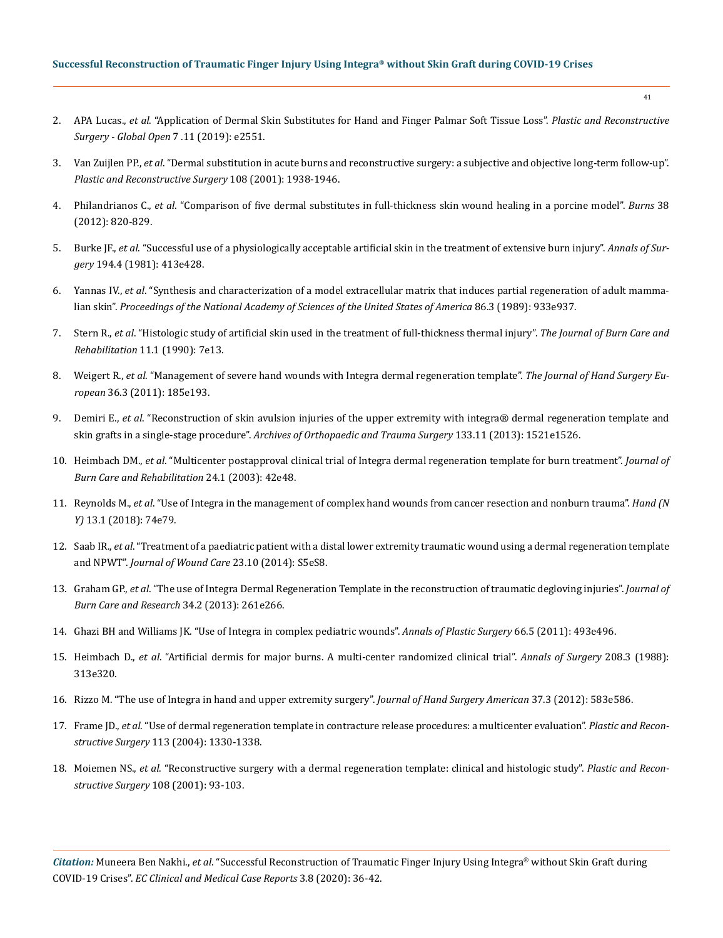# **Successful Reconstruction of Traumatic Finger Injury Using Integra® without Skin Graft during COVID-19 Crises**

- 2. APA Lucas., *et al*[. "Application of Dermal Skin Substitutes for Hand and Finger Palmar Soft Tissue Loss".](https://journals.lww.com/prsgo/fulltext/2019/11000/application_of_dermal_skin_substitutes_for_hand.30.aspx) *Plastic and Reconstructive [Surgery - Global Open](https://journals.lww.com/prsgo/fulltext/2019/11000/application_of_dermal_skin_substitutes_for_hand.30.aspx)* 7 .11 (2019): e2551.
- 3. Van Zuijlen PP., *et al*[. "Dermal substitution in acute burns and reconstructive surgery: a subjective and objective long-term follow-up".](https://pubmed.ncbi.nlm.nih.gov/11743380/)  *[Plastic and Reconstructive Surgery](https://pubmed.ncbi.nlm.nih.gov/11743380/)* 108 (2001): 1938-1946.
- 4. Philandrianos C., *et al*[. "Comparison of five dermal substitutes in full-thickness skin wound healing in a porcine model".](https://pubmed.ncbi.nlm.nih.gov/22652473/) *Burns* 38 [\(2012\): 820-829.](https://pubmed.ncbi.nlm.nih.gov/22652473/)
- 5. Burke JF., *et al*[. "Successful use of a physiologically acceptable artificial skin in the treatment of extensive burn injury".](https://europepmc.org/article/med/6792993) *Annals of Surgery* [194.4 \(1981\): 413e428.](https://europepmc.org/article/med/6792993)
- 6. Yannas IV., *et al*[. "Synthesis and characterization of a model extracellular matrix that induces partial regeneration of adult mamma](https://www.ncbi.nlm.nih.gov/pmc/articles/PMC286593/)lian skin". *[Proceedings of the National Academy of Sciences of the United States of America](https://www.ncbi.nlm.nih.gov/pmc/articles/PMC286593/)* 86.3 (1989): 933e937.
- 7. Stern R., *et al*[. "Histologic study of artificial skin used in the treatment of full-thickness thermal injury".](https://pubmed.ncbi.nlm.nih.gov/2179224/) *The Journal of Burn Care and Rehabilitation* [11.1 \(1990\): 7e13.](https://pubmed.ncbi.nlm.nih.gov/2179224/)
- 8. Weigert R., *et al*[. "Management of severe hand wounds with Integra dermal regeneration template".](https://pubmed.ncbi.nlm.nih.gov/21078866/) *The Journal of Hand Surgery European* [36.3 \(2011\): 185e193.](https://pubmed.ncbi.nlm.nih.gov/21078866/)
- 9. Demiri E., *et al*[. "Reconstruction of skin avulsion injuries of the upper extremity with integra® dermal regeneration template and](https://pubmed.ncbi.nlm.nih.gov/23963344/)  skin grafts in a single-stage procedure". *[Archives of Orthopaedic and Trauma Surgery](https://pubmed.ncbi.nlm.nih.gov/23963344/)* 133.11 (2013): 1521e1526.
- 10. Heimbach DM., *et al*[. "Multicenter postapproval clinical trial of Integra dermal regeneration template for burn treatment".](https://pubmed.ncbi.nlm.nih.gov/12543990/) *Journal of [Burn Care and Rehabilitation](https://pubmed.ncbi.nlm.nih.gov/12543990/)* 24.1 (2003): 42e48.
- 11. Reynolds M., *et al*[. "Use of Integra in the management of complex hand wounds from cancer resection and nonburn trauma".](https://www.researchgate.net/publication/313738801_Use_of_Integra_in_the_Management_of_Complex_Hand_Wounds_From_Cancer_Resection_and_Nonburn_Trauma) *Hand (N Y)* [13.1 \(2018\): 74e79.](https://www.researchgate.net/publication/313738801_Use_of_Integra_in_the_Management_of_Complex_Hand_Wounds_From_Cancer_Resection_and_Nonburn_Trauma)
- 12. Saab IR., *et al*[. "Treatment of a paediatric patient with a distal lower extremity traumatic wound using a dermal regeneration template](https://pubmed.ncbi.nlm.nih.gov/25289652/)  and NPWT". *[Journal of Wound Care](https://pubmed.ncbi.nlm.nih.gov/25289652/)* 23.10 (2014): S5eS8.
- 13. Graham GP., *et al*[. "The use of Integra Dermal Regeneration Template in the reconstruction of traumatic degloving injuries".](https://pubmed.ncbi.nlm.nih.gov/23370997/) *Journal of [Burn Care and Research](https://pubmed.ncbi.nlm.nih.gov/23370997/)* 34.2 (2013): 261e266.
- 14. [Ghazi BH and Williams JK. "Use of Integra in complex pediatric wounds".](https://pubmed.ncbi.nlm.nih.gov/21233697/) *Annals of Plastic Surgery* 66.5 (2011): 493e496.
- 15. Heimbach D., *et al*[. "Artificial dermis for major burns. A multi-center randomized clinical trial".](https://www.ncbi.nlm.nih.gov/pmc/articles/PMC1493652/) *Annals of Surgery* 208.3 (1988): [313e320.](https://www.ncbi.nlm.nih.gov/pmc/articles/PMC1493652/)
- 16. [Rizzo M. "The use of Integra in hand and upper extremity surgery".](https://pubmed.ncbi.nlm.nih.gov/22209210/) *Journal of Hand Surgery American* 37.3 (2012): 583e586.
- 17. Frame JD., *et al*[. "Use of dermal regeneration template in contracture release procedures: a multicenter evaluation".](https://pubmed.ncbi.nlm.nih.gov/15060344/) *Plastic and Reconstructive Surgery* [113 \(2004\): 1330-1338.](https://pubmed.ncbi.nlm.nih.gov/15060344/)
- 18. Moiemen NS., *et al*[. "Reconstructive surgery with a dermal regeneration template: clinical and histologic study".](https://pubmed.ncbi.nlm.nih.gov/11420509/) *Plastic and Recon[structive Surgery](https://pubmed.ncbi.nlm.nih.gov/11420509/)* 108 (2001): 93-103.

*Citation:* Muneera Ben Nakhi., *et al*. "Successful Reconstruction of Traumatic Finger Injury Using Integra® without Skin Graft during COVID-19 Crises". *EC Clinical and Medical Case Reports* 3.8 (2020): 36-42.